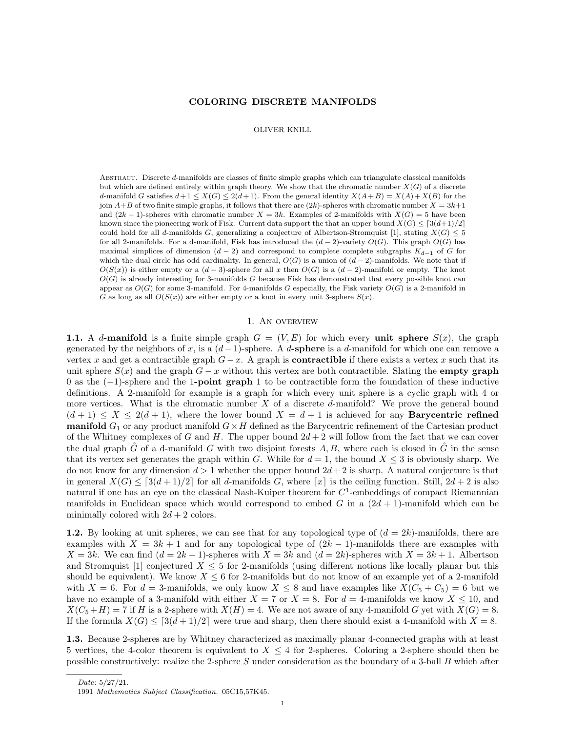### COLORING DISCRETE MANIFOLDS

#### OLIVER KNILL

Abstract. Discrete d-manifolds are classes of finite simple graphs which can triangulate classical manifolds but which are defined entirely within graph theory. We show that the chromatic number  $X(G)$  of a discrete d-manifold G satisfies  $d+1 \leq X(G) \leq 2(d+1)$ . From the general identity  $X(A+B) = X(A) + X(B)$  for the join  $A+B$  of two finite simple graphs, it follows that there are  $(2k)$ -spheres with chromatic number  $X = 3k+1$ and  $(2k-1)$ -spheres with chromatic number  $X = 3k$ . Examples of 2-manifolds with  $X(G) = 5$  have been known since the pioneering work of Fisk. Current data support the that an upper bound  $X(G) \leq [3(d+1)/2]$ could hold for all d-manifolds G, generalizing a conjecture of Albertson-Stromquist [1], stating  $X(G) \leq 5$ for all 2-manifolds. For a d-manifold, Fisk has introduced the  $(d-2)$ -variety  $O(G)$ . This graph  $O(G)$  has maximal simplices of dimension  $(d-2)$  and correspond to complete complete subgraphs  $K_{d-1}$  of G for which the dual circle has odd cardinality. In general,  $O(G)$  is a union of  $(d-2)$ -manifolds. We note that if  $O(S(x))$  is either empty or a  $(d-3)$ -sphere for all x then  $O(G)$  is a  $(d-2)$ -manifold or empty. The knot  $O(G)$  is already interesting for 3-manifolds G because Fisk has demonstrated that every possible knot can appear as  $O(G)$  for some 3-manifold. For 4-manifolds G especially, the Fisk variety  $O(G)$  is a 2-manifold in G as long as all  $O(S(x))$  are either empty or a knot in every unit 3-sphere  $S(x)$ .

#### 1. An overview

1.1. A d-manifold is a finite simple graph  $G = (V, E)$  for which every unit sphere  $S(x)$ , the graph generated by the neighbors of x, is a  $(d-1)$ -sphere. A d-sphere is a d-manifold for which one can remove a vertex x and get a contractible graph  $G - x$ . A graph is **contractible** if there exists a vertex x such that its unit sphere  $S(x)$  and the graph  $G - x$  without this vertex are both contractible. Slating the **empty graph** 0 as the (−1)-sphere and the 1-point graph 1 to be contractible form the foundation of these inductive definitions. A 2-manifold for example is a graph for which every unit sphere is a cyclic graph with 4 or more vertices. What is the chromatic number  $X$  of a discrete  $d$ -manifold? We prove the general bound  $(d+1) \leq X \leq 2(d+1)$ , where the lower bound  $X = d+1$  is achieved for any **Barycentric refined manifold**  $G_1$  or any product manifold  $G \times H$  defined as the Barycentric refinement of the Cartesian product of the Whitney complexes of G and H. The upper bound  $2d + 2$  will follow from the fact that we can cover the dual graph  $\tilde{G}$  of a d-manifold G with two disjoint forests A, B, where each is closed in  $\tilde{G}$  in the sense that its vertex set generates the graph within G. While for  $d = 1$ , the bound  $X \leq 3$  is obviously sharp. We do not know for any dimension  $d > 1$  whether the upper bound  $2d + 2$  is sharp. A natural conjecture is that in general  $X(G) \leq [3(d+1)/2]$  for all d-manifolds G, where  $[x]$  is the ceiling function. Still,  $2d+2$  is also natural if one has an eye on the classical Nash-Kuiper theorem for  $C^1$ -embeddings of compact Riemannian manifolds in Euclidean space which would correspond to embed G in a  $(2d + 1)$ -manifold which can be minimally colored with  $2d + 2$  colors.

1.2. By looking at unit spheres, we can see that for any topological type of  $(d = 2k)$ -manifolds, there are examples with  $X = 3k + 1$  and for any topological type of  $(2k - 1)$ -manifolds there are examples with  $X = 3k$ . We can find  $(d = 2k - 1)$ -spheres with  $X = 3k$  and  $(d = 2k)$ -spheres with  $X = 3k + 1$ . Albertson and Stromquist [1] conjectured  $X \leq 5$  for 2-manifolds (using different notions like locally planar but this should be equivalent). We know  $X \leq 6$  for 2-manifolds but do not know of an example yet of a 2-manifold with  $X = 6$ . For  $d = 3$ -manifolds, we only know  $X \leq 8$  and have examples like  $X(C_5 + C_5) = 6$  but we have no example of a 3-manifold with either  $X = 7$  or  $X = 8$ . For  $d = 4$ -manifolds we know  $X \le 10$ , and  $X(C_5 + H) = 7$  if H is a 2-sphere with  $X(H) = 4$ . We are not aware of any 4-manifold G yet with  $X(G) = 8$ . If the formula  $X(G) \leq [3(d+1)/2]$  were true and sharp, then there should exist a 4-manifold with  $X = 8$ .

1.3. Because 2-spheres are by Whitney characterized as maximally planar 4-connected graphs with at least 5 vertices, the 4-color theorem is equivalent to  $X \leq 4$  for 2-spheres. Coloring a 2-sphere should then be possible constructively: realize the 2-sphere  $S$  under consideration as the boundary of a 3-ball  $B$  which after

Date: 5/27/21.

<sup>1991</sup> Mathematics Subject Classification. 05C15,57K45.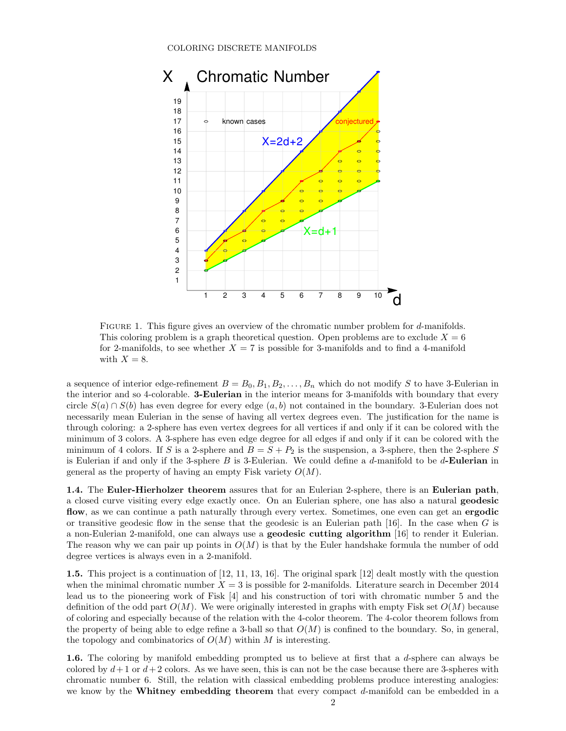

FIGURE 1. This figure gives an overview of the chromatic number problem for d-manifolds. This coloring problem is a graph theoretical question. Open problems are to exclude  $X = 6$ for 2-manifolds, to see whether  $X = 7$  is possible for 3-manifolds and to find a 4-manifold with  $X = 8$ .

a sequence of interior edge-refinement  $B = B_0, B_1, B_2, \ldots, B_n$  which do not modify S to have 3-Eulerian in the interior and so 4-colorable. 3-Eulerian in the interior means for 3-manifolds with boundary that every circle  $S(a) \cap S(b)$  has even degree for every edge  $(a, b)$  not contained in the boundary. 3-Eulerian does not necessarily mean Eulerian in the sense of having all vertex degrees even. The justification for the name is through coloring: a 2-sphere has even vertex degrees for all vertices if and only if it can be colored with the minimum of 3 colors. A 3-sphere has even edge degree for all edges if and only if it can be colored with the minimum of 4 colors. If S is a 2-sphere and  $B = S + P_2$  is the suspension, a 3-sphere, then the 2-sphere S is Eulerian if and only if the 3-sphere  $B$  is 3-Eulerian. We could define a  $d$ -manifold to be  $d$ -**Eulerian** in general as the property of having an empty Fisk variety  $O(M)$ .

1.4. The Euler-Hierholzer theorem assures that for an Eulerian 2-sphere, there is an Eulerian path, a closed curve visiting every edge exactly once. On an Eulerian sphere, one has also a natural geodesic flow, as we can continue a path naturally through every vertex. Sometimes, one even can get an ergodic or transitive geodesic flow in the sense that the geodesic is an Eulerian path  $[16]$ . In the case when G is a non-Eulerian 2-manifold, one can always use a geodesic cutting algorithm [16] to render it Eulerian. The reason why we can pair up points in  $O(M)$  is that by the Euler handshake formula the number of odd degree vertices is always even in a 2-manifold.

1.5. This project is a continuation of [12, 11, 13, 16]. The original spark [12] dealt mostly with the question when the minimal chromatic number  $X = 3$  is possible for 2-manifolds. Literature search in December 2014 lead us to the pioneering work of Fisk [4] and his construction of tori with chromatic number 5 and the definition of the odd part  $O(M)$ . We were originally interested in graphs with empty Fisk set  $O(M)$  because of coloring and especially because of the relation with the 4-color theorem. The 4-color theorem follows from the property of being able to edge refine a 3-ball so that  $O(M)$  is confined to the boundary. So, in general, the topology and combinatorics of  $O(M)$  within M is interesting.

1.6. The coloring by manifold embedding prompted us to believe at first that a d-sphere can always be colored by  $d+1$  or  $d+2$  colors. As we have seen, this is can not be the case because there are 3-spheres with chromatic number 6. Still, the relation with classical embedding problems produce interesting analogies: we know by the Whitney embedding theorem that every compact d-manifold can be embedded in a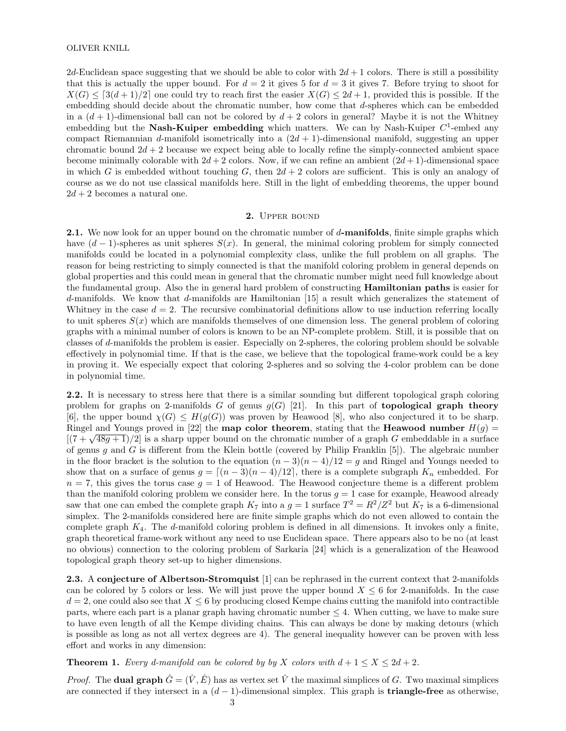2d-Euclidean space suggesting that we should be able to color with  $2d+1$  colors. There is still a possibility that this is actually the upper bound. For  $d = 2$  it gives 5 for  $d = 3$  it gives 7. Before trying to shoot for  $X(G) \leq 3(d+1)/2$  one could try to reach first the easier  $X(G) \leq 2d+1$ , provided this is possible. If the embedding should decide about the chromatic number, how come that d-spheres which can be embedded in a  $(d+1)$ -dimensional ball can not be colored by  $d+2$  colors in general? Maybe it is not the Whitney embedding but the Nash-Kuiper embedding which matters. We can by Nash-Kuiper  $C^1$ -embed any compact Riemannian d-manifold isometrically into a  $(2d + 1)$ -dimensional manifold, suggesting an upper chromatic bound  $2d + 2$  because we expect being able to locally refine the simply-connected ambient space become minimally colorable with  $2d + 2$  colors. Now, if we can refine an ambient  $(2d + 1)$ -dimensional space in which G is embedded without touching G, then  $2d + 2$  colors are sufficient. This is only an analogy of course as we do not use classical manifolds here. Still in the light of embedding theorems, the upper bound  $2d + 2$  becomes a natural one.

# 2. Upper bound

**2.1.** We now look for an upper bound on the chromatic number of d-manifolds, finite simple graphs which have  $(d-1)$ -spheres as unit spheres  $S(x)$ . In general, the minimal coloring problem for simply connected manifolds could be located in a polynomial complexity class, unlike the full problem on all graphs. The reason for being restricting to simply connected is that the manifold coloring problem in general depends on global properties and this could mean in general that the chromatic number might need full knowledge about the fundamental group. Also the in general hard problem of constructing Hamiltonian paths is easier for d-manifolds. We know that d-manifolds are Hamiltonian [15] a result which generalizes the statement of Whitney in the case  $d = 2$ . The recursive combinatorial definitions allow to use induction referring locally to unit spheres  $S(x)$  which are manifolds themselves of one dimension less. The general problem of coloring graphs with a minimal number of colors is known to be an NP-complete problem. Still, it is possible that on classes of d-manifolds the problem is easier. Especially on 2-spheres, the coloring problem should be solvable effectively in polynomial time. If that is the case, we believe that the topological frame-work could be a key in proving it. We especially expect that coloring 2-spheres and so solving the 4-color problem can be done in polynomial time.

2.2. It is necessary to stress here that there is a similar sounding but different topological graph coloring problem for graphs on 2-manifolds G of genus  $g(G)$  [21]. In this part of topological graph theory [6], the upper bound  $\chi(G) \leq H(g(G))$  was proven by Heawood [8], who also conjectured it to be sharp. Ringel and Youngs proved in [22] the **map color theorem**, stating that the **Heawood number**  $H(q)$  = Example and Toungs proved in [22] the **map color theorem**, stating that the **Heawood number**  $H(y) =$ <br>[(7 +  $\sqrt{48g+1}$ )/2] is a sharp upper bound on the chromatic number of a graph G embeddable in a surface of genus g and G is different from the Klein bottle (covered by Philip Franklin [5]). The algebraic number in the floor bracket is the solution to the equation  $(n-3)(n-4)/12 = g$  and Ringel and Youngs needed to show that on a surface of genus  $g = \lfloor (n-3)(n-4)/12 \rfloor$ , there is a complete subgraph  $K_n$  embedded. For  $n = 7$ , this gives the torus case  $g = 1$  of Heawood. The Heawood conjecture theme is a different problem than the manifold coloring problem we consider here. In the torus  $q = 1$  case for example, Heawood already saw that one can embed the complete graph  $K_7$  into a  $g = 1$  surface  $T^2 = R^2/Z^2$  but  $K_7$  is a 6-dimensional simplex. The 2-manifolds considered here are finite simple graphs which do not even allowed to contain the complete graph  $K_4$ . The d-manifold coloring problem is defined in all dimensions. It invokes only a finite, graph theoretical frame-work without any need to use Euclidean space. There appears also to be no (at least no obvious) connection to the coloring problem of Sarkaria [24] which is a generalization of the Heawood topological graph theory set-up to higher dimensions.

2.3. A conjecture of Albertson-Stromquist [1] can be rephrased in the current context that 2-manifolds can be colored by 5 colors or less. We will just prove the upper bound  $X \leq 6$  for 2-manifolds. In the case  $d = 2$ , one could also see that  $X \leq 6$  by producing closed Kempe chains cutting the manifold into contractible parts, where each part is a planar graph having chromatic number  $\leq 4$ . When cutting, we have to make sure to have even length of all the Kempe dividing chains. This can always be done by making detours (which is possible as long as not all vertex degrees are 4). The general inequality however can be proven with less effort and works in any dimension:

**Theorem 1.** Every d-manifold can be colored by by X colors with  $d+1 \leq X \leq 2d+2$ .

*Proof.* The **dual graph**  $\hat{G} = (\hat{V}, \hat{E})$  has as vertex set  $\hat{V}$  the maximal simplices of G. Two maximal simplices are connected if they intersect in a  $(d-1)$ -dimensional simplex. This graph is **triangle-free** as otherwise,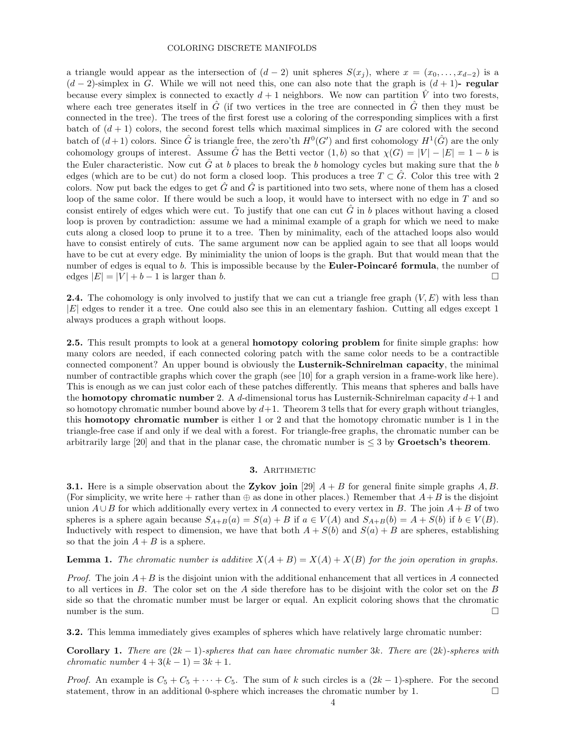a triangle would appear as the intersection of  $(d-2)$  unit spheres  $S(x_i)$ , where  $x = (x_0, \ldots, x_{d-2})$  is a  $(d-2)$ -simplex in G. While we will not need this, one can also note that the graph is  $(d+1)$ - regular because every simplex is connected to exactly  $d+1$  neighbors. We now can partition  $\hat{V}$  into two forests, where each tree generates itself in  $\hat{G}$  (if two vertices in the tree are connected in  $\hat{G}$  then they must be connected in the tree). The trees of the first forest use a coloring of the corresponding simplices with a first batch of  $(d+1)$  colors, the second forest tells which maximal simplices in G are colored with the second batch of  $(d+1)$  colors. Since  $\hat{G}$  is triangle free, the zero'th  $H^0(G')$  and first cohomology  $H^1(\hat{G})$  are the only cohomology groups of interest. Assume  $\hat{G}$  has the Betti vector  $(1, b)$  so that  $\chi(G) = |V| - |E| = 1 - b$  is the Euler characteristic. Now cut  $\hat{G}$  at b places to break the b homology cycles but making sure that the b edges (which are to be cut) do not form a closed loop. This produces a tree  $T \subset \hat{G}$ . Color this tree with 2 colors. Now put back the edges to get  $\hat{G}$  and  $\hat{G}$  is partitioned into two sets, where none of them has a closed loop of the same color. If there would be such a loop, it would have to intersect with no edge in  $T$  and so consist entirely of edges which were cut. To justify that one can cut  $\tilde{G}$  in b places without having a closed loop is proven by contradiction: assume we had a minimal example of a graph for which we need to make cuts along a closed loop to prune it to a tree. Then by minimality, each of the attached loops also would have to consist entirely of cuts. The same argument now can be applied again to see that all loops would have to be cut at every edge. By minimiality the union of loops is the graph. But that would mean that the number of edges is equal to b. This is impossible because by the **Euler-Poincaré formula**, the number of edges  $|E| = |V| + b - 1$  is larger than b.

**2.4.** The cohomology is only involved to justify that we can cut a triangle free graph  $(V, E)$  with less than |E| edges to render it a tree. One could also see this in an elementary fashion. Cutting all edges except 1 always produces a graph without loops.

2.5. This result prompts to look at a general **homotopy coloring problem** for finite simple graphs: how many colors are needed, if each connected coloring patch with the same color needs to be a contractible connected component? An upper bound is obviously the Lusternik-Schnirelman capacity, the minimal number of contractible graphs which cover the graph (see [10] for a graph version in a frame-work like here). This is enough as we can just color each of these patches differently. This means that spheres and balls have the **homotopy chromatic number** 2. A d-dimensional torus has Lusternik-Schnirelman capacity  $d+1$  and so homotopy chromatic number bound above by  $d+1$ . Theorem 3 tells that for every graph without triangles, this homotopy chromatic number is either 1 or 2 and that the homotopy chromatic number is 1 in the triangle-free case if and only if we deal with a forest. For triangle-free graphs, the chromatic number can be arbitrarily large [20] and that in the planar case, the chromatic number is  $\leq$  3 by Groetsch's theorem.

### 3. ARITHMETIC

**3.1.** Here is a simple observation about the Zykov join [29]  $A + B$  for general finite simple graphs A, B. (For simplicity, we write here + rather than  $\oplus$  as done in other places.) Remember that  $A+B$  is the disjoint union  $A \cup B$  for which additionally every vertex in A connected to every vertex in B. The join  $A + B$  of two spheres is a sphere again because  $S_{A+B}(a) = S(a) + B$  if  $a \in V(A)$  and  $S_{A+B}(b) = A + S(b)$  if  $b \in V(B)$ . Inductively with respect to dimension, we have that both  $A + S(b)$  and  $S(a) + B$  are spheres, establishing so that the join  $A + B$  is a sphere.

**Lemma 1.** The chromatic number is additive  $X(A + B) = X(A) + X(B)$  for the join operation in graphs.

*Proof.* The join  $A + B$  is the disjoint union with the additional enhancement that all vertices in A connected to all vertices in B. The color set on the A side therefore has to be disjoint with the color set on the B side so that the chromatic number must be larger or equal. An explicit coloring shows that the chromatic number is the sum.  $\Box$ 

3.2. This lemma immediately gives examples of spheres which have relatively large chromatic number:

**Corollary 1.** There are  $(2k-1)$ -spheres that can have chromatic number 3k. There are  $(2k)$ -spheres with chromatic number  $4 + 3(k - 1) = 3k + 1$ .

*Proof.* An example is  $C_5 + C_5 + \cdots + C_5$ . The sum of k such circles is a  $(2k-1)$ -sphere. For the second statement, throw in an additional 0-sphere which increases the chromatic number by 1.  $\Box$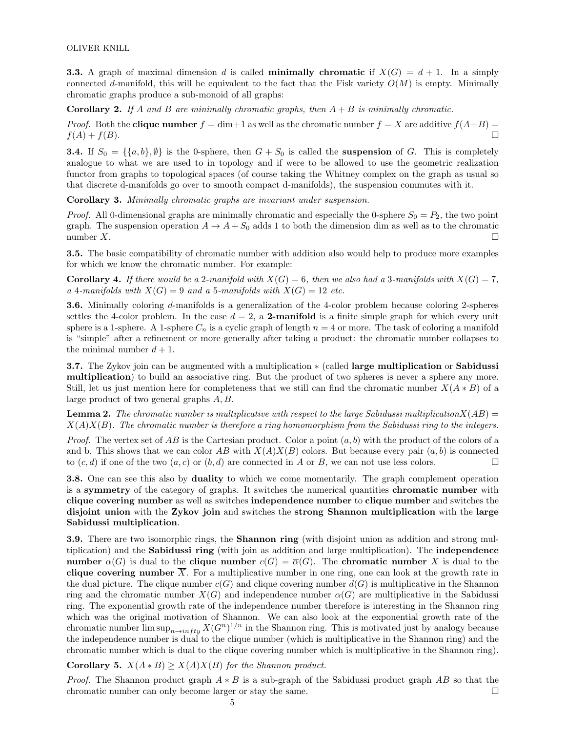**3.3.** A graph of maximal dimension d is called **minimally chromatic** if  $X(G) = d + 1$ . In a simply connected d-manifold, this will be equivalent to the fact that the Fisk variety  $O(M)$  is empty. Minimally chromatic graphs produce a sub-monoid of all graphs:

**Corollary 2.** If A and B are minimally chromatic graphs, then  $A + B$  is minimally chromatic.

*Proof.* Both the **clique number**  $f = \dim +1$  as well as the chromatic number  $f = X$  are additive  $f(A+B)$  $f(A) + f(B)$ .

**3.4.** If  $S_0 = \{\{a, b\}, \emptyset\}$  is the 0-sphere, then  $G + S_0$  is called the **suspension** of G. This is completely analogue to what we are used to in topology and if were to be allowed to use the geometric realization functor from graphs to topological spaces (of course taking the Whitney complex on the graph as usual so that discrete d-manifolds go over to smooth compact d-manifolds), the suspension commutes with it.

Corollary 3. Minimally chromatic graphs are invariant under suspension.

*Proof.* All 0-dimensional graphs are minimally chromatic and especially the 0-sphere  $S_0 = P_2$ , the two point graph. The suspension operation  $A \to A + S_0$  adds 1 to both the dimension dim as well as to the chromatic number  $X$ .

3.5. The basic compatibility of chromatic number with addition also would help to produce more examples for which we know the chromatic number. For example:

**Corollary 4.** If there would be a 2-manifold with  $X(G) = 6$ , then we also had a 3-manifolds with  $X(G) = 7$ , a 4-manifolds with  $X(G) = 9$  and a 5-manifolds with  $X(G) = 12$  etc.

3.6. Minimally coloring d-manifolds is a generalization of the 4-color problem because coloring 2-spheres settles the 4-color problem. In the case  $d = 2$ , a 2-manifold is a finite simple graph for which every unit sphere is a 1-sphere. A 1-sphere  $C_n$  is a cyclic graph of length  $n = 4$  or more. The task of coloring a manifold is "simple" after a refinement or more generally after taking a product: the chromatic number collapses to the minimal number  $d + 1$ .

3.7. The Zykov join can be augmented with a multiplication  $∗$  (called large multiplication or Sabidussi multiplication) to build an associative ring. But the product of two spheres is never a sphere any more. Still, let us just mention here for completeness that we still can find the chromatic number  $X(A * B)$  of a large product of two general graphs A, B.

**Lemma 2.** The chromatic number is multiplicative with respect to the large Sabidussi multiplication  $X(AB) =$  $X(A)X(B)$ . The chromatic number is therefore a ring homomorphism from the Sabidussi ring to the integers.

*Proof.* The vertex set of AB is the Cartesian product. Color a point  $(a, b)$  with the product of the colors of a and b. This shows that we can color AB with  $X(A)X(B)$  colors. But because every pair  $(a, b)$  is connected to  $(c, d)$  if one of the two  $(a, c)$  or  $(b, d)$  are connected in A or B, we can not use less colors.

3.8. One can see this also by duality to which we come momentarily. The graph complement operation is a symmetry of the category of graphs. It switches the numerical quantities chromatic number with clique covering number as well as switches independence number to clique number and switches the disjoint union with the Zykov join and switches the strong Shannon multiplication with the large Sabidussi multiplication.

**3.9.** There are two isomorphic rings, the **Shannon ring** (with disjoint union as addition and strong multiplication) and the Sabidussi ring (with join as addition and large multiplication). The independence number  $\alpha(G)$  is dual to the clique number  $c(G) = \overline{\alpha}(G)$ . The chromatic number X is dual to the clique covering number  $\overline{X}$ . For a multiplicative number in one ring, one can look at the growth rate in the dual picture. The clique number  $c(G)$  and clique covering number  $d(G)$  is multiplicative in the Shannon ring and the chromatic number  $X(G)$  and independence number  $\alpha(G)$  are multiplicative in the Sabidussi ring. The exponential growth rate of the independence number therefore is interesting in the Shannon ring which was the original motivation of Shannon. We can also look at the exponential growth rate of the chromatic number  $\limsup_{n\to infty} X(G^n)^{1/n}$  in the Shannon ring. This is motivated just by analogy because the independence number is dual to the clique number (which is multiplicative in the Shannon ring) and the chromatic number which is dual to the clique covering number which is multiplicative in the Shannon ring).

Corollary 5.  $X(A*B) \ge X(A)X(B)$  for the Shannon product.

*Proof.* The Shannon product graph  $A * B$  is a sub-graph of the Sabidussi product graph AB so that the chromatic number can only become larger or stay the same.  $\Box$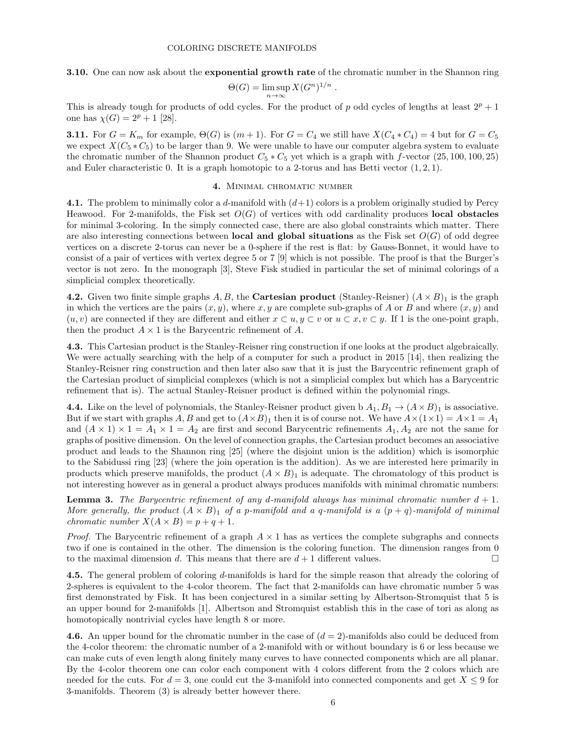3.10. One can now ask about the exponential growth rate of the chromatic number in the Shannon ring

$$
\Theta(G) = \limsup_{n \to \infty} X(G^n)^{1/n}
$$

.

This is already tough for products of odd cycles. For the product of p odd cycles of lengths at least  $2^p + 1$ one has  $\chi(G) = 2^p + 1$  [28].

**3.11.** For  $G = K_m$  for example,  $\Theta(G)$  is  $(m+1)$ . For  $G = C_4$  we still have  $X(C_4*C_4) = 4$  but for  $G = C_5$ we expect  $X(C_5 * C_5)$  to be larger than 9. We were unable to have our computer algebra system to evaluate the chromatic number of the Shannon product  $C_5 * C_5$  yet which is a graph with f-vector (25, 100, 100, 25) and Euler characteristic 0. It is a graph homotopic to a 2-torus and has Betti vector  $(1, 2, 1)$ .

### 4. Minimal chromatic number

4.1. The problem to minimally color a d-manifold with  $(d+1)$  colors is a problem originally studied by Percy Heawood. For 2-manifolds, the Fisk set  $O(G)$  of vertices with odd cardinality produces **local obstacles** for minimal 3-coloring. In the simply connected case, there are also global constraints which matter. There are also interesting connections between **local and global situations** as the Fisk set  $O(G)$  of odd degree vertices on a discrete 2-torus can never be a 0-sphere if the rest is flat: by Gauss-Bonnet, it would have to consist of a pair of vertices with vertex degree 5 or 7 [9] which is not possible. The proof is that the Burger's vector is not zero. In the monograph [3], Steve Fisk studied in particular the set of minimal colorings of a simplicial complex theoretically.

4.2. Given two finite simple graphs A, B, the Cartesian product (Stanley-Reisner)  $(A \times B)_1$  is the graph in which the vertices are the pairs  $(x, y)$ , where x, y are complete sub-graphs of A or B and where  $(x, y)$  and  $(u, v)$  are connected if they are different and either  $x \subset u, y \subset v$  or  $u \subset x, v \subset y$ . If 1 is the one-point graph, then the product  $A \times 1$  is the Barycentric refinement of A.

4.3. This Cartesian product is the Stanley-Reisner ring construction if one looks at the product algebraically. We were actually searching with the help of a computer for such a product in 2015 [14], then realizing the Stanley-Reisner ring construction and then later also saw that it is just the Barycentric refinement graph of the Cartesian product of simplicial complexes (which is not a simplicial complex but which has a Barycentric refinement that is). The actual Stanley-Reisner product is defined within the polynomial rings.

4.4. Like on the level of polynomials, the Stanley-Reisner product given b  $A_1, B_1 \to (A \times B)_1$  is associative. But if we start with graphs A, B and get to  $(A \times B)_1$  then it is of course not. We have  $A \times (1 \times 1) = A \times 1 = A_1$ and  $(A \times 1) \times 1 = A_1 \times 1 = A_2$  are first and second Barycentric refinements  $A_1, A_2$  are not the same for graphs of positive dimension. On the level of connection graphs, the Cartesian product becomes an associative product and leads to the Shannon ring [25] (where the disjoint union is the addition) which is isomorphic to the Sabidussi ring [23] (where the join operation is the addition). As we are interested here primarily in products which preserve manifolds, the product  $(A \times B)_1$  is adequate. The chromatology of this product is not interesting however as in general a product always produces manifolds with minimal chromatic numbers:

**Lemma 3.** The Barycentric refinement of any d-manifold always has minimal chromatic number  $d + 1$ . More generally, the product  $(A \times B)_1$  of a p-manifold and a q-manifold is a  $(p+q)$ -manifold of minimal chromatic number  $X(A \times B) = p + q + 1$ .

*Proof.* The Barycentric refinement of a graph  $A \times 1$  has as vertices the complete subgraphs and connects two if one is contained in the other. The dimension is the coloring function. The dimension ranges from 0 to the maximal dimension d. This means that there are  $d+1$  different values.

4.5. The general problem of coloring d-manifolds is hard for the simple reason that already the coloring of 2-spheres is equivalent to the 4-color theorem. The fact that 2-manifolds can have chromatic number 5 was first demonstrated by Fisk. It has been conjectured in a similar setting by Albertson-Stromquist that 5 is an upper bound for 2-manifolds [1]. Albertson and Stromquist establish this in the case of tori as along as homotopically nontrivial cycles have length 8 or more.

4.6. An upper bound for the chromatic number in the case of  $(d = 2)$ -manifolds also could be deduced from the 4-color theorem: the chromatic number of a 2-manifold with or without boundary is 6 or less because we can make cuts of even length along finitely many curves to have connected components which are all planar. By the 4-color theorem one can color each component with 4 colors different from the 2 colors which are needed for the cuts. For  $d = 3$ , one could cut the 3-manifold into connected components and get  $X \leq 9$  for 3-manifolds. Theorem (3) is already better however there.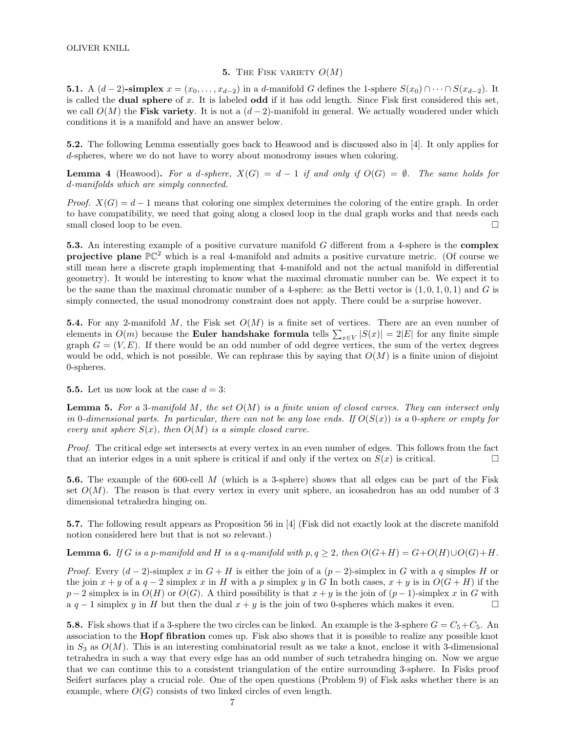## 5. THE FISK VARIETY  $O(M)$

**5.1.** A  $(d-2)$ -simplex  $x = (x_0, \ldots, x_{d-2})$  in a d-manifold G defines the 1-sphere  $S(x_0) \cap \cdots \cap S(x_{d-2})$ . It is called the dual sphere of x. It is labeled odd if it has odd length. Since Fisk first considered this set, we call  $O(M)$  the Fisk variety. It is not a  $(d-2)$ -manifold in general. We actually wondered under which conditions it is a manifold and have an answer below.

5.2. The following Lemma essentially goes back to Heawood and is discussed also in [4]. It only applies for d-spheres, where we do not have to worry about monodromy issues when coloring.

**Lemma 4** (Heawood). For a d-sphere,  $X(G) = d - 1$  if and only if  $O(G) = \emptyset$ . The same holds for d-manifolds which are simply connected.

*Proof.*  $X(G) = d - 1$  means that coloring one simplex determines the coloring of the entire graph. In order to have compatibility, we need that going along a closed loop in the dual graph works and that needs each small closed loop to be even.

5.3. An interesting example of a positive curvature manifold G different from a 4-sphere is the complex **projective plane**  $\mathbb{PC}^2$  which is a real 4-manifold and admits a positive curvature metric. (Of course we still mean here a discrete graph implementing that 4-manifold and not the actual manifold in differential geometry). It would be interesting to know what the maximal chromatic number can be. We expect it to be the same than the maximal chromatic number of a 4-sphere: as the Betti vector is  $(1, 0, 1, 0, 1)$  and G is simply connected, the usual monodromy constraint does not apply. There could be a surprise however.

**5.4.** For any 2-manifold M, the Fisk set  $O(M)$  is a finite set of vertices. There are an even number of elements in  $O(m)$  because the **Euler handshake formula** tells  $\sum_{x \in V} |S(x)| = 2|E|$  for any finite simple graph  $G = (V, E)$ . If there would be an odd number of odd degree vertices, the sum of the vertex degrees would be odd, which is not possible. We can rephrase this by saying that  $O(M)$  is a finite union of disjoint 0-spheres.

5.5. Let us now look at the case  $d = 3$ :

**Lemma 5.** For a 3-manifold M, the set  $O(M)$  is a finite union of closed curves. They can intersect only in 0-dimensional parts. In particular, there can not be any lose ends. If  $O(S(x))$  is a 0-sphere or empty for every unit sphere  $S(x)$ , then  $O(M)$  is a simple closed curve.

Proof. The critical edge set intersects at every vertex in an even number of edges. This follows from the fact that an interior edges in a unit sphere is critical if and only if the vertex on  $S(x)$  is critical.

5.6. The example of the 600-cell M (which is a 3-sphere) shows that all edges can be part of the Fisk set  $O(M)$ . The reason is that every vertex in every unit sphere, an icosahedron has an odd number of 3 dimensional tetrahedra hinging on.

5.7. The following result appears as Proposition 56 in [4] (Fisk did not exactly look at the discrete manifold notion considered here but that is not so relevant.)

**Lemma 6.** If G is a p-manifold and H is a q-manifold with  $p, q \geq 2$ , then  $O(G+H) = G+O(H) \cup O(G)+H$ .

*Proof.* Every  $(d-2)$ -simplex x in  $G + H$  is either the join of a  $(p-2)$ -simplex in G with a q simples H or the join  $x + y$  of a  $q - 2$  simplex x in H with a p simplex y in G In both cases,  $x + y$  is in  $O(G + H)$  if the  $p-2$  simplex is in  $O(H)$  or  $O(G)$ . A third possibility is that  $x + y$  is the join of  $(p-1)$ -simplex x in G with a  $q-1$  simplex y in H but then the dual  $x + y$  is the join of two 0-spheres which makes it even.

**5.8.** Fisk shows that if a 3-sphere the two circles can be linked. An example is the 3-sphere  $G = C_5 + C_5$ . An association to the Hopf fibration comes up. Fisk also shows that it is possible to realize any possible knot in  $S_3$  as  $O(M)$ . This is an interesting combinatorial result as we take a knot, enclose it with 3-dimensional tetrahedra in such a way that every edge has an odd number of such tetrahedra hinging on. Now we argue that we can continue this to a consistent triangulation of the entire surrounding 3-sphere. In Fisks proof Seifert surfaces play a crucial role. One of the open questions (Problem 9) of Fisk asks whether there is an example, where  $O(G)$  consists of two linked circles of even length.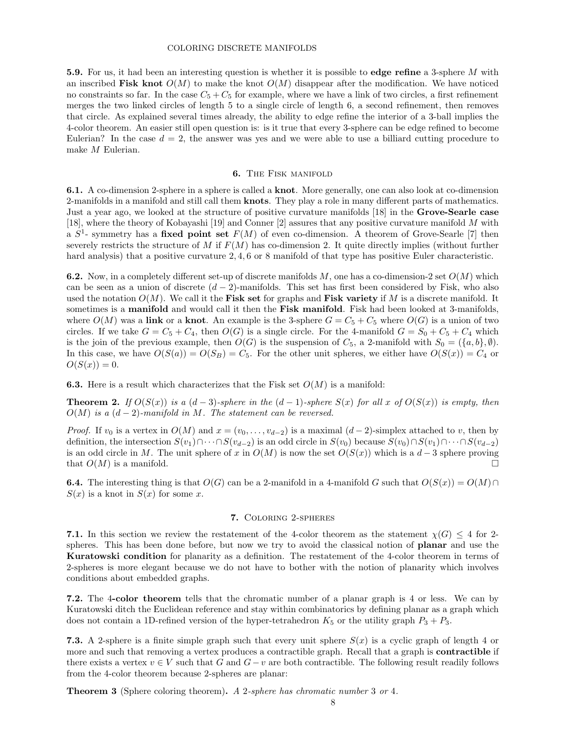#### COLORING DISCRETE MANIFOLDS

5.9. For us, it had been an interesting question is whether it is possible to edge refine a 3-sphere M with an inscribed Fisk knot  $O(M)$  to make the knot  $O(M)$  disappear after the modification. We have noticed no constraints so far. In the case  $C_5 + C_5$  for example, where we have a link of two circles, a first refinement merges the two linked circles of length 5 to a single circle of length 6, a second refinement, then removes that circle. As explained several times already, the ability to edge refine the interior of a 3-ball implies the 4-color theorem. An easier still open question is: is it true that every 3-sphere can be edge refined to become Eulerian? In the case  $d = 2$ , the answer was yes and we were able to use a billiard cutting procedure to make M Eulerian.

## 6. The Fisk manifold

6.1. A co-dimension 2-sphere in a sphere is called a knot. More generally, one can also look at co-dimension 2-manifolds in a manifold and still call them **knots**. They play a role in many different parts of mathematics. Just a year ago, we looked at the structure of positive curvature manifolds [18] in the Grove-Searle case [18], where the theory of Kobayashi [19] and Conner [2] assures that any positive curvature manifold M with a  $S^1$ - symmetry has a fixed point set  $F(M)$  of even co-dimension. A theorem of Grove-Searle [7] then severely restricts the structure of M if  $F(M)$  has co-dimension 2. It quite directly implies (without further hard analysis) that a positive curvature 2, 4, 6 or 8 manifold of that type has positive Euler characteristic.

6.2. Now, in a completely different set-up of discrete manifolds  $M$ , one has a co-dimension-2 set  $O(M)$  which can be seen as a union of discrete  $(d-2)$ -manifolds. This set has first been considered by Fisk, who also used the notation  $O(M)$ . We call it the Fisk set for graphs and Fisk variety if M is a discrete manifold. It sometimes is a manifold and would call it then the Fisk manifold. Fisk had been looked at 3-manifolds, where  $O(M)$  was a link or a knot. An example is the 3-sphere  $G = C_5 + C_5$  where  $O(G)$  is a union of two circles. If we take  $G = C_5 + C_4$ , then  $O(G)$  is a single circle. For the 4-manifold  $G = S_0 + C_5 + C_4$  which is the join of the previous example, then  $O(G)$  is the suspension of  $C_5$ , a 2-manifold with  $S_0 = (\{a, b\}, \emptyset)$ . In this case, we have  $O(S(a)) = O(S_B) = C_5$ . For the other unit spheres, we either have  $O(S(x)) = C_4$  or  $O(S(x)) = 0.$ 

**6.3.** Here is a result which characterizes that the Fisk set  $O(M)$  is a manifold:

**Theorem 2.** If  $O(S(x))$  is a  $(d-3)$ -sphere in the  $(d-1)$ -sphere  $S(x)$  for all x of  $O(S(x))$  is empty, then  $O(M)$  is a  $(d-2)$ -manifold in M. The statement can be reversed.

*Proof.* If  $v_0$  is a vertex in  $O(M)$  and  $x = (v_0, \ldots, v_{d-2})$  is a maximal  $(d-2)$ -simplex attached to v, then by definition, the intersection  $S(v_1) \cap \cdots \cap S(v_{d-2})$  is an odd circle in  $S(v_0)$  because  $S(v_0) \cap S(v_1) \cap \cdots \cap S(v_{d-2})$ is an odd circle in M. The unit sphere of x in  $O(M)$  is now the set  $O(S(x))$  which is a  $d-3$  sphere proving that  $O(M)$  is a manifold.

**6.4.** The interesting thing is that  $O(G)$  can be a 2-manifold in a 4-manifold G such that  $O(S(x)) = O(M) \cap$  $S(x)$  is a knot in  $S(x)$  for some x.

# 7. Coloring 2-spheres

7.1. In this section we review the restatement of the 4-color theorem as the statement  $\chi(G) \leq 4$  for 2spheres. This has been done before, but now we try to avoid the classical notion of **planar** and use the Kuratowski condition for planarity as a definition. The restatement of the 4-color theorem in terms of 2-spheres is more elegant because we do not have to bother with the notion of planarity which involves conditions about embedded graphs.

7.2. The 4-color theorem tells that the chromatic number of a planar graph is 4 or less. We can by Kuratowski ditch the Euclidean reference and stay within combinatorics by defining planar as a graph which does not contain a 1D-refined version of the hyper-tetrahedron  $K_5$  or the utility graph  $P_3 + P_3$ .

**7.3.** A 2-sphere is a finite simple graph such that every unit sphere  $S(x)$  is a cyclic graph of length 4 or more and such that removing a vertex produces a contractible graph. Recall that a graph is **contractible** if there exists a vertex  $v \in V$  such that G and  $G - v$  are both contractible. The following result readily follows from the 4-color theorem because 2-spheres are planar:

**Theorem 3** (Sphere coloring theorem). A 2-sphere has chromatic number 3 or 4.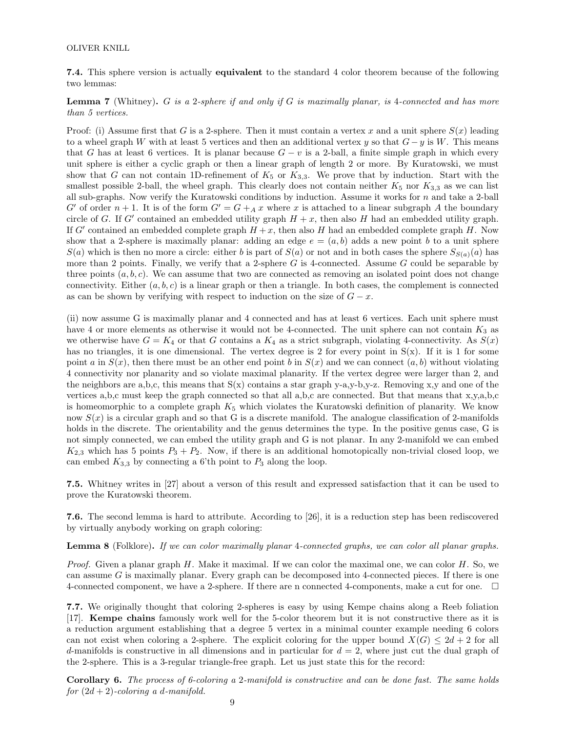### OLIVER KNILL

7.4. This sphere version is actually equivalent to the standard 4 color theorem because of the following two lemmas:

**Lemma 7** (Whitney). G is a 2-sphere if and only if G is maximally planar, is 4-connected and has more than 5 vertices.

Proof: (i) Assume first that G is a 2-sphere. Then it must contain a vertex x and a unit sphere  $S(x)$  leading to a wheel graph W with at least 5 vertices and then an additional vertex y so that  $G - y$  is W. This means that G has at least 6 vertices. It is planar because  $G - v$  is a 2-ball, a finite simple graph in which every unit sphere is either a cyclic graph or then a linear graph of length 2 or more. By Kuratowski, we must show that G can not contain 1D-refinement of  $K_5$  or  $K_{3,3}$ . We prove that by induction. Start with the smallest possible 2-ball, the wheel graph. This clearly does not contain neither  $K_5$  nor  $K_{3,3}$  as we can list all sub-graphs. Now verify the Kuratowski conditions by induction. Assume it works for  $n$  and take a 2-ball G' of order  $n + 1$ . It is of the form  $G' = G +_{A} x$  where x is attached to a linear subgraph A the boundary circle of G. If G' contained an embedded utility graph  $H + x$ , then also H had an embedded utility graph. If G' contained an embedded complete graph  $H + x$ , then also H had an embedded complete graph H. Now show that a 2-sphere is maximally planar: adding an edge  $e = (a, b)$  adds a new point b to a unit sphere  $S(a)$  which is then no more a circle: either b is part of  $S(a)$  or not and in both cases the sphere  $S_{S(a)}(a)$  has more than 2 points. Finally, we verify that a 2-sphere  $G$  is 4-connected. Assume  $G$  could be separable by three points  $(a, b, c)$ . We can assume that two are connected as removing an isolated point does not change connectivity. Either  $(a, b, c)$  is a linear graph or then a triangle. In both cases, the complement is connected as can be shown by verifying with respect to induction on the size of  $G - x$ .

(ii) now assume G is maximally planar and 4 connected and has at least 6 vertices. Each unit sphere must have 4 or more elements as otherwise it would not be 4-connected. The unit sphere can not contain  $K_3$  as we otherwise have  $G = K_4$  or that G contains a  $K_4$  as a strict subgraph, violating 4-connectivity. As  $S(x)$ has no triangles, it is one dimensional. The vertex degree is 2 for every point in  $S(x)$ . If it is 1 for some point a in  $S(x)$ , then there must be an other end point b in  $S(x)$  and we can connect  $(a, b)$  without violating 4 connectivity nor planarity and so violate maximal planarity. If the vertex degree were larger than 2, and the neighbors are a,b,c, this means that  $S(x)$  contains a star graph y-a,y-b,y-z. Removing x,y and one of the vertices a,b,c must keep the graph connected so that all a,b,c are connected. But that means that x,y,a,b,c is homeomorphic to a complete graph  $K_5$  which violates the Kuratowski definition of planarity. We know now  $S(x)$  is a circular graph and so that G is a discrete manifold. The analogue classification of 2-manifolds holds in the discrete. The orientability and the genus determines the type. In the positive genus case, G is not simply connected, we can embed the utility graph and G is not planar. In any 2-manifold we can embed  $K_{2,3}$  which has 5 points  $P_3 + P_2$ . Now, if there is an additional homotopically non-trivial closed loop, we can embed  $K_{3,3}$  by connecting a 6'th point to  $P_3$  along the loop.

7.5. Whitney writes in [27] about a verson of this result and expressed satisfaction that it can be used to prove the Kuratowski theorem.

7.6. The second lemma is hard to attribute. According to [26], it is a reduction step has been rediscovered by virtually anybody working on graph coloring:

Lemma 8 (Folklore). If we can color maximally planar 4-connected graphs, we can color all planar graphs.

*Proof.* Given a planar graph  $H$ . Make it maximal. If we can color the maximal one, we can color  $H$ . So, we can assume G is maximally planar. Every graph can be decomposed into 4-connected pieces. If there is one 4-connected component, we have a 2-sphere. If there are n connected 4-components, make a cut for one.

7.7. We originally thought that coloring 2-spheres is easy by using Kempe chains along a Reeb foliation [17]. Kempe chains famously work well for the 5-color theorem but it is not constructive there as it is a reduction argument establishing that a degree 5 vertex in a minimal counter example needing 6 colors can not exist when coloring a 2-sphere. The explicit coloring for the upper bound  $X(G) \leq 2d + 2$  for all d-manifolds is constructive in all dimensions and in particular for  $d = 2$ , where just cut the dual graph of the 2-sphere. This is a 3-regular triangle-free graph. Let us just state this for the record:

Corollary 6. The process of 6-coloring a 2-manifold is constructive and can be done fast. The same holds for  $(2d + 2)$ -coloring a d-manifold.